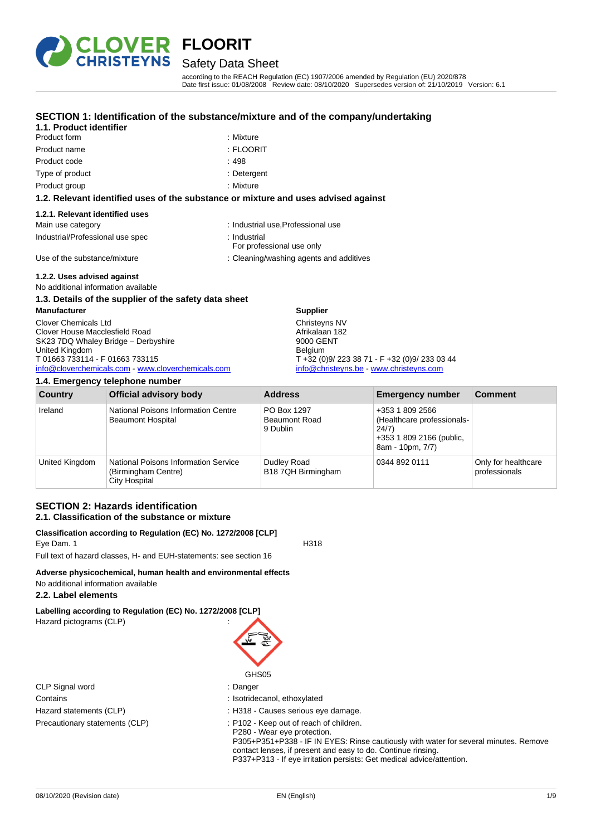

### Safety Data Sheet

according to the REACH Regulation (EC) 1907/2006 amended by Regulation (EU) 2020/878 Date first issue: 01/08/2008 Review date: 08/10/2020 Supersedes version of: 21/10/2019 Version: 6.1

#### **SECTION 1: Identification of the substance/mixture and of the company/undertaking**

| 1.1. Product identifier |          |
|-------------------------|----------|
| Product form            | :Mixture |

| Product form | : Mixture      |
|--------------|----------------|
| Product name | $\pm$ FI OORIT |

Product code : 498

Type of product in the contract of the contract of the contract of the contract of the contract of the contract of the contract of the contract of the contract of the contract of the contract of the contract of the contrac

Product group **: Mixture** 

#### **1.2. Relevant identified uses of the substance or mixture and uses advised against**

#### **1.2.1. Relevant identified uses**

| Main use category                | : Industrial use, Professional use        |
|----------------------------------|-------------------------------------------|
| Industrial/Professional use spec | ∴ Industrial<br>For professional use only |
| Use of the substance/mixture     | : Cleaning/washing agents and additives   |

#### **1.2.2. Uses advised against**

No additional information available

#### **1.3. Details of the supplier of the safety data sheet**

**Manufacturer** Clover Chemicals Ltd Clover House Macclesfield Road SK23 7DQ Whaley Bridge – Derbyshire United Kingdom T 01663 733114 - F 01663 733115 [info@cloverchemicals.com](mailto:info@cloverchemicals.com) - [www.cloverchemicals.com](http://www.cloverchemicals.com/)

| 1.4. Emergency telephone number |                                                                                            |                                                 |                                                                                                        |                                      |
|---------------------------------|--------------------------------------------------------------------------------------------|-------------------------------------------------|--------------------------------------------------------------------------------------------------------|--------------------------------------|
| <b>Country</b>                  | <b>Official advisory body</b>                                                              | <b>Address</b>                                  | <b>Emergency number</b>                                                                                | <b>Comment</b>                       |
| Ireland                         | National Poisons Information Centre<br><b>Beaumont Hospital</b>                            | PO Box 1297<br><b>Beaumont Road</b><br>9 Dublin | +353 1 809 2566<br>(Healthcare professionals-<br>24/7)<br>+353 1 809 2166 (public,<br>8am - 10pm, 7/7) |                                      |
| United Kingdom                  | <b>National Poisons Information Service</b><br>(Birmingham Centre)<br><b>City Hospital</b> | Dudley Road<br>B18 7QH Birmingham               | 0344 892 0111                                                                                          | Only for healthcare<br>professionals |

**Supplier** Christeyns NV Afrikalaan 182 9000 GENT Belgium

T +32 (0)9/ 223 38 71 - F +32 (0)9/ 233 03 44 [info@christeyns.be](mailto:info@christeyns.be) - [www.christeyns.com](http://www.christeyns.com/)

#### **SECTION 2: Hazards identification 2.1. Classification of the substance or mixture**

#### **Classification according to Regulation (EC) No. 1272/2008 [CLP]** Eye Dam. 1 H318

Full text of hazard classes, H- and EUH-statements: see section 16

### **Adverse physicochemical, human health and environmental effects**

### No additional information available

#### **2.2. Label elements**

**Labelling according to Regulation (EC) No. 1272/2008 [CLP]** Hazard pictograms (CLP) :

| CLP Signal word                |
|--------------------------------|
| Contains                       |
| Hazard statements (CLP)        |
| Precautionary statements (CLP) |

# GHS05

- : Danger
- : Isotridecanol, ethoxylated
- : H318 Causes serious eye damage.
- : P102 Keep out of reach of children.
- P280 Wear eye protection.
- P305+P351+P338 IF IN EYES: Rinse cautiously with water for several minutes. Remove contact lenses, if present and easy to do. Continue rinsing. P337+P313 - If eye irritation persists: Get medical advice/attention.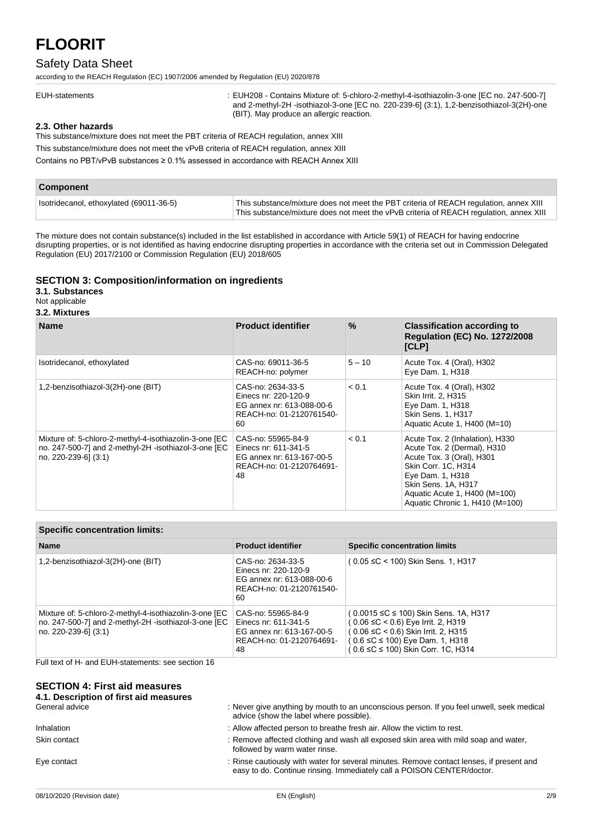#### Safety Data Sheet

according to the REACH Regulation (EC) 1907/2006 amended by Regulation (EU) 2020/878

: EUH208 - Contains Mixture of: 5-chloro-2-methyl-4-isothiazolin-3-one [EC no. 247-500-7] and 2-methyl-2H -isothiazol-3-one [EC no. 220-239-6] (3:1), 1,2-benzisothiazol-3(2H)-one (BIT). May produce an allergic reaction.

#### **2.3. Other hazards**

This substance/mixture does not meet the PBT criteria of REACH regulation, annex XIII

This substance/mixture does not meet the vPvB criteria of REACH regulation, annex XIII

Contains no PBT/vPvB substances ≥ 0.1% assessed in accordance with REACH Annex XIII

| <b>Component</b>                        |                                                                                                                                                                                 |
|-----------------------------------------|---------------------------------------------------------------------------------------------------------------------------------------------------------------------------------|
| Isotridecanol, ethoxylated (69011-36-5) | This substance/mixture does not meet the PBT criteria of REACH regulation, annex XIII<br>This substance/mixture does not meet the vPvB criteria of REACH regulation, annex XIII |

The mixture does not contain substance(s) included in the list established in accordance with Article 59(1) of REACH for having endocrine disrupting properties, or is not identified as having endocrine disrupting properties in accordance with the criteria set out in Commission Delegated Regulation (EU) 2017/2100 or Commission Regulation (EU) 2018/605

#### **SECTION 3: Composition/information on ingredients**

**3.1. Substances**

Not applicable

#### **3.2. Mixtures**

| <b>Name</b>                                                                                                                            | <b>Product identifier</b>                                                                                 | $\frac{9}{6}$ | <b>Classification according to</b><br><b>Regulation (EC) No. 1272/2008</b><br>[CLP]                                                                                                                                               |
|----------------------------------------------------------------------------------------------------------------------------------------|-----------------------------------------------------------------------------------------------------------|---------------|-----------------------------------------------------------------------------------------------------------------------------------------------------------------------------------------------------------------------------------|
| Isotridecanol, ethoxylated                                                                                                             | CAS-no: 69011-36-5<br>REACH-no: polymer                                                                   | $5 - 10$      | Acute Tox. 4 (Oral), H302<br>Eye Dam. 1, H318                                                                                                                                                                                     |
| 1,2-benzisothiazol-3(2H)-one (BIT)                                                                                                     | CAS-no: 2634-33-5<br>Einecs nr: 220-120-9<br>EG annex nr: 613-088-00-6<br>REACH-no: 01-2120761540-<br>60  | < 0.1         | Acute Tox. 4 (Oral), H302<br>Skin Irrit. 2. H315<br>Eye Dam. 1, H318<br><b>Skin Sens. 1, H317</b><br>Aquatic Acute 1, H400 (M=10)                                                                                                 |
| Mixture of: 5-chloro-2-methyl-4-isothiazolin-3-one [EC<br>no. 247-500-7] and 2-methyl-2H -isothiazol-3-one [EC<br>no. 220-239-6] (3:1) | CAS-no: 55965-84-9<br>Einecs nr: 611-341-5<br>EG annex nr: 613-167-00-5<br>REACH-no: 01-2120764691-<br>48 | < 0.1         | Acute Tox. 2 (Inhalation), H330<br>Acute Tox. 2 (Dermal), H310<br>Acute Tox. 3 (Oral), H301<br>Skin Corr. 1C, H314<br>Eye Dam. 1, H318<br>Skin Sens. 1A, H317<br>Aquatic Acute 1, H400 (M=100)<br>Aquatic Chronic 1, H410 (M=100) |

#### **Specific concentration limits:**

| <b>Name</b>                                                                                                                            | <b>Product identifier</b>                                                                                 | <b>Specific concentration limits</b>                                                                                                                                                                             |
|----------------------------------------------------------------------------------------------------------------------------------------|-----------------------------------------------------------------------------------------------------------|------------------------------------------------------------------------------------------------------------------------------------------------------------------------------------------------------------------|
| 1,2-benzisothiazol-3(2H)-one (BIT)                                                                                                     | CAS-no: 2634-33-5<br>Einecs nr: 220-120-9<br>EG annex nr: 613-088-00-6<br>REACH-no: 01-2120761540-<br>60  | (0.05 ≤C < 100) Skin Sens. 1, H317                                                                                                                                                                               |
| Mixture of: 5-chloro-2-methyl-4-isothiazolin-3-one [EC<br>no. 247-500-7] and 2-methyl-2H -isothiazol-3-one [EC<br>no. 220-239-61 (3:1) | CAS-no: 55965-84-9<br>Einecs nr: 611-341-5<br>EG annex nr: 613-167-00-5<br>REACH-no: 01-2120764691-<br>48 | (0.0015 ≤C ≤ 100) Skin Sens. 1A, H317<br>$(0.06 \leq C < 0.6)$ Eye Irrit. 2, H319<br>$(0.06 \leq C < 0.6)$ Skin Irrit. 2, H315<br>$(0.6 \leq C \leq 100)$ Eye Dam. 1, H318<br>(0.6 ≤C ≤ 100) Skin Corr. 1C, H314 |

Full text of H- and EUH-statements: see section 16

#### **SECTION 4: First aid measures**

| : Never give anything by mouth to an unconscious person. If you feel unwell, seek medical<br>advice (show the label where possible).                               |
|--------------------------------------------------------------------------------------------------------------------------------------------------------------------|
| : Allow affected person to breathe fresh air. Allow the victim to rest.                                                                                            |
| : Remove affected clothing and wash all exposed skin area with mild soap and water,<br>followed by warm water rinse.                                               |
| : Rinse cautiously with water for several minutes. Remove contact lenses, if present and<br>easy to do. Continue rinsing. Immediately call a POISON CENTER/doctor. |
|                                                                                                                                                                    |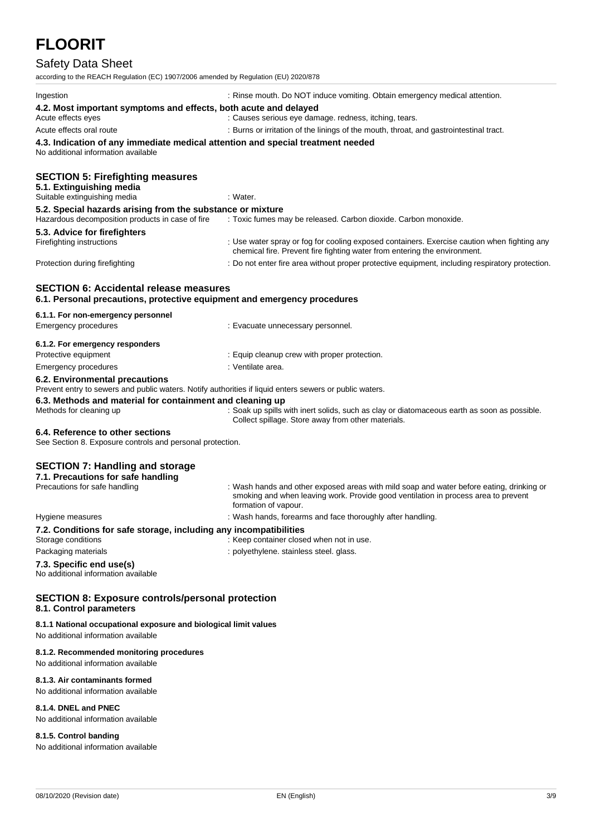### Safety Data Sheet

| according to the REACH Regulation (EC) 1907/2006 amended by Regulation (EU) 2020/878                                                      |                                                                                                                                                                                                        |  |
|-------------------------------------------------------------------------------------------------------------------------------------------|--------------------------------------------------------------------------------------------------------------------------------------------------------------------------------------------------------|--|
| Ingestion                                                                                                                                 | : Rinse mouth. Do NOT induce vomiting. Obtain emergency medical attention.                                                                                                                             |  |
| 4.2. Most important symptoms and effects, both acute and delayed<br>Acute effects eyes                                                    | : Causes serious eye damage. redness, itching, tears.                                                                                                                                                  |  |
| Acute effects oral route                                                                                                                  | : Burns or irritation of the linings of the mouth, throat, and gastrointestinal tract.                                                                                                                 |  |
| 4.3. Indication of any immediate medical attention and special treatment needed<br>No additional information available                    |                                                                                                                                                                                                        |  |
| <b>SECTION 5: Firefighting measures</b><br>5.1. Extinguishing media<br>Suitable extinguishing media                                       | : Water.                                                                                                                                                                                               |  |
| 5.2. Special hazards arising from the substance or mixture<br>Hazardous decomposition products in case of fire                            | : Toxic fumes may be released. Carbon dioxide. Carbon monoxide.                                                                                                                                        |  |
| 5.3. Advice for firefighters<br>Firefighting instructions                                                                                 | : Use water spray or fog for cooling exposed containers. Exercise caution when fighting any<br>chemical fire. Prevent fire fighting water from entering the environment.                               |  |
| Protection during firefighting                                                                                                            | : Do not enter fire area without proper protective equipment, including respiratory protection.                                                                                                        |  |
| <b>SECTION 6: Accidental release measures</b><br>6.1. Personal precautions, protective equipment and emergency procedures                 |                                                                                                                                                                                                        |  |
| 6.1.1. For non-emergency personnel                                                                                                        |                                                                                                                                                                                                        |  |
| <b>Emergency procedures</b>                                                                                                               | : Evacuate unnecessary personnel.                                                                                                                                                                      |  |
| 6.1.2. For emergency responders                                                                                                           |                                                                                                                                                                                                        |  |
| Protective equipment                                                                                                                      | : Equip cleanup crew with proper protection.                                                                                                                                                           |  |
| Emergency procedures                                                                                                                      | : Ventilate area.                                                                                                                                                                                      |  |
| 6.2. Environmental precautions<br>Prevent entry to sewers and public waters. Notify authorities if liquid enters sewers or public waters. |                                                                                                                                                                                                        |  |
| 6.3. Methods and material for containment and cleaning up<br>Methods for cleaning up                                                      | : Soak up spills with inert solids, such as clay or diatomaceous earth as soon as possible.<br>Collect spillage. Store away from other materials.                                                      |  |
| 6.4. Reference to other sections<br>See Section 8. Exposure controls and personal protection.                                             |                                                                                                                                                                                                        |  |
| <b>SECTION 7: Handling and storage</b><br>7.1. Precautions for safe handling                                                              |                                                                                                                                                                                                        |  |
| Precautions for safe handling                                                                                                             | : Wash hands and other exposed areas with mild soap and water before eating, drinking or<br>smoking and when leaving work. Provide good ventilation in process area to prevent<br>formation of vapour. |  |
| Hygiene measures                                                                                                                          | : Wash hands, forearms and face thoroughly after handling.                                                                                                                                             |  |
| 7.2. Conditions for safe storage, including any incompatibilities<br>Storage conditions                                                   | : Keep container closed when not in use.                                                                                                                                                               |  |
| Packaging materials                                                                                                                       | : polyethylene. stainless steel. glass.                                                                                                                                                                |  |
| 7.3. Specific end use(s)<br>No additional information available                                                                           |                                                                                                                                                                                                        |  |
| <b>SECTION 8: Exposure controls/personal protection</b><br>8.1. Control parameters                                                        |                                                                                                                                                                                                        |  |
| 8.1.1 National occupational exposure and biological limit values<br>No additional information available                                   |                                                                                                                                                                                                        |  |
| 8.1.2. Recommended monitoring procedures<br>No additional information available                                                           |                                                                                                                                                                                                        |  |

#### **8.1.3. Air contaminants formed** No additional information available

#### **8.1.4. DNEL and PNEC**

No additional information available

#### **8.1.5. Control banding**

No additional information available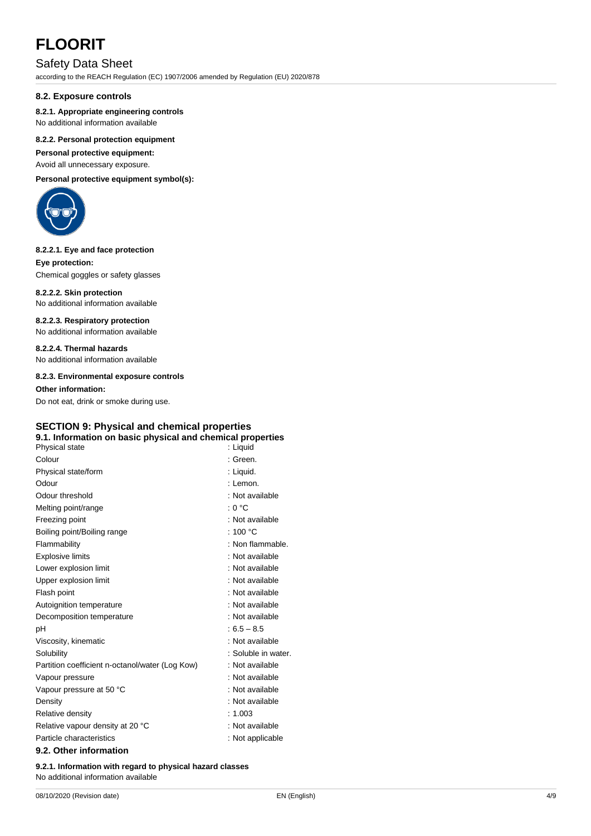#### Safety Data Sheet

according to the REACH Regulation (EC) 1907/2006 amended by Regulation (EU) 2020/878

#### **8.2. Exposure controls**

#### **8.2.1. Appropriate engineering controls**

No additional information available

#### **8.2.2. Personal protection equipment**

**Personal protective equipment:**

Avoid all unnecessary exposure.

**Personal protective equipment symbol(s):**



#### **8.2.2.1. Eye and face protection**

**Eye protection:** Chemical goggles or safety glasses

**8.2.2.2. Skin protection** No additional information available

#### **8.2.2.3. Respiratory protection**

No additional information available

**8.2.2.4. Thermal hazards** No additional information available

**8.2.3. Environmental exposure controls**

**Other information:**

Do not eat, drink or smoke during use.

#### **SECTION 9: Physical and chemical properties 9.1. Information on basic physical and chemical properties**

| Physical state                                  | : Liquid            |
|-------------------------------------------------|---------------------|
| Colour                                          | : Green.            |
| Physical state/form                             | : Liquid.           |
| Odour                                           | : Lemon.            |
| Odour threshold                                 | : Not available     |
| Melting point/range                             | : 0 °C              |
| Freezing point                                  | : Not available     |
| Boiling point/Boiling range                     | : 100 $^{\circ}$ C  |
| Flammability                                    | : Non flammable.    |
| <b>Explosive limits</b>                         | : Not available     |
| Lower explosion limit                           | : Not available     |
| Upper explosion limit                           | : Not available     |
| Flash point                                     | : Not available     |
| Autoignition temperature                        | : Not available     |
| Decomposition temperature                       | : Not available     |
| рH                                              | $:6.5 - 8.5$        |
| Viscosity, kinematic                            | : Not available     |
| Solubility                                      | : Soluble in water. |
| Partition coefficient n-octanol/water (Log Kow) | : Not available     |
| Vapour pressure                                 | : Not available     |
| Vapour pressure at 50 °C                        | : Not available     |
| Density                                         | : Not available     |
| Relative density                                | : 1.003             |
| Relative vapour density at 20 °C                | : Not available     |
| Particle characteristics                        | : Not applicable    |
|                                                 |                     |

#### **9.2. Other information**

**9.2.1. Information with regard to physical hazard classes** No additional information available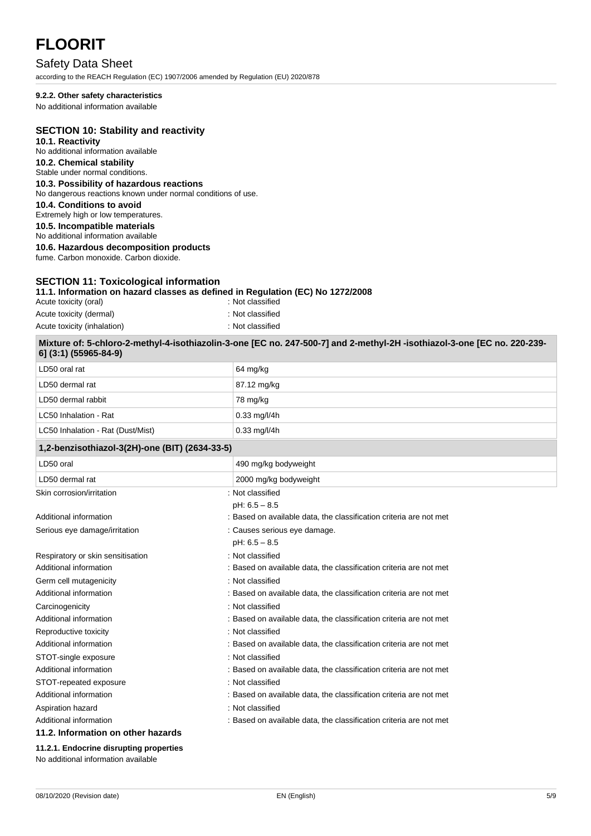#### Safety Data Sheet

according to the REACH Regulation (EC) 1907/2006 amended by Regulation (EU) 2020/878

#### **9.2.2. Other safety characteristics**

No additional information available

#### **SECTION 10: Stability and reactivity**

**10.1. Reactivity** No additional information available **10.2. Chemical stability** Stable under normal conditions.

#### **10.3. Possibility of hazardous reactions**

No dangerous reactions known under normal conditions of use.

**10.4. Conditions to avoid**

Extremely high or low temperatures. **10.5. Incompatible materials**

No additional information available

**10.6. Hazardous decomposition products**

fume. Carbon monoxide. Carbon dioxide.

#### **SECTION 11: Toxicological information**

#### **11.1. Information on hazard classes as defined in Regulation (EC) No 1272/2008**

| Acute toxicity (oral)       | : Not classified |
|-----------------------------|------------------|
| Acute toxicity (dermal)     | : Not classified |
| Acute toxicity (inhalation) | : Not classified |

| Mixture of: 5-chloro-2-methyl-4-isothiazolin-3-one [EC no. 247-500-7] and 2-methyl-2H -isothiazol-3-one [EC no. 220-239-<br>6] (3:1) (55965-84-9) |                    |
|---------------------------------------------------------------------------------------------------------------------------------------------------|--------------------|
| $\Box$ DEO oral rat                                                                                                                               | $64 \text{ mol/s}$ |

| 1,2-benzisothiazol-3(2H)-one (BIT) (2634-33-5) |                        |
|------------------------------------------------|------------------------|
| LC50 Inhalation - Rat (Dust/Mist)              | $0.33 \text{ mg/l/4h}$ |
| LC50 Inhalation - Rat                          | $0.33 \text{ mg/l/4h}$ |
| LD50 dermal rabbit                             | 78 mg/kg               |
| LD50 dermal rat                                | 87.12 mg/kg            |
| LD50 oral rat                                  | 64 mg/kg               |

| LD50 oral                          | 490 mg/kg bodyweight                                               |
|------------------------------------|--------------------------------------------------------------------|
| LD50 dermal rat                    | 2000 mg/kg bodyweight                                              |
| Skin corrosion/irritation          | : Not classified                                                   |
|                                    | $pH: 6.5 - 8.5$                                                    |
| Additional information             | : Based on available data, the classification criteria are not met |
| Serious eye damage/irritation      | : Causes serious eye damage.                                       |
|                                    | $pH: 6.5 - 8.5$                                                    |
| Respiratory or skin sensitisation  | : Not classified                                                   |
| Additional information             | : Based on available data, the classification criteria are not met |
| Germ cell mutagenicity             | : Not classified                                                   |
| Additional information             | : Based on available data, the classification criteria are not met |
| Carcinogenicity                    | : Not classified                                                   |
| Additional information             | : Based on available data, the classification criteria are not met |
| Reproductive toxicity              | : Not classified                                                   |
| Additional information             | : Based on available data, the classification criteria are not met |
| STOT-single exposure               | : Not classified                                                   |
| Additional information             | : Based on available data, the classification criteria are not met |
| STOT-repeated exposure             | : Not classified                                                   |
| Additional information             | : Based on available data, the classification criteria are not met |
| Aspiration hazard                  | : Not classified                                                   |
| Additional information             | : Based on available data, the classification criteria are not met |
| 11.2. Information on other hazards |                                                                    |

**11.2.1. Endocrine disrupting properties** No additional information available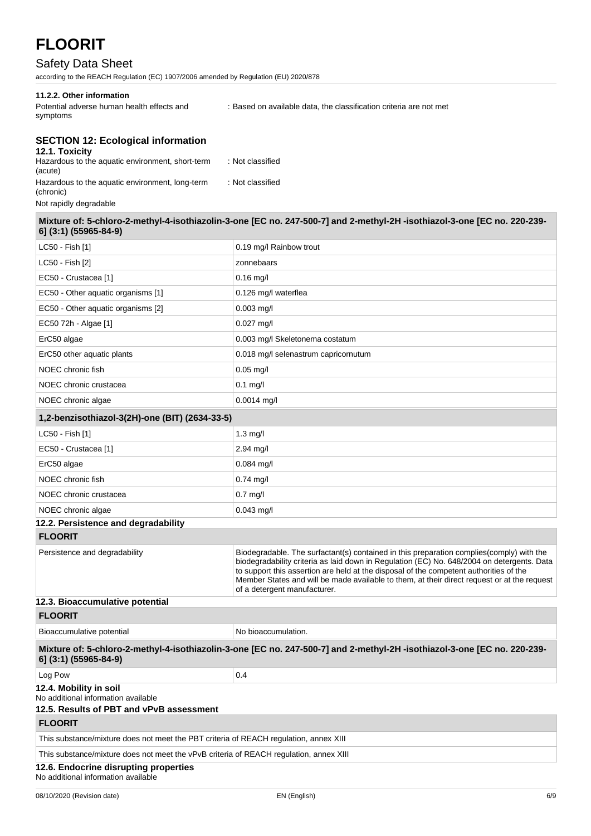#### Safety Data Sheet

according to the REACH Regulation (EC) 1907/2006 amended by Regulation (EU) 2020/878

#### **11.2.2. Other information**

Potential adverse human health effects and symptoms

: Based on available data, the classification criteria are not met

#### **SECTION 12: Ecological information**

| 12.1. Toxicity                                               |                  |
|--------------------------------------------------------------|------------------|
| Hazardous to the aquatic environment, short-term<br>(acute)  | : Not classified |
| Hazardous to the aquatic environment, long-term<br>(chronic) | : Not classified |
| Not rapidly degradable                                       |                  |

**Mixture of: 5-chloro-2-methyl-4-isothiazolin-3-one [EC no. 247-500-7] and 2-methyl-2H -isothiazol-3-one [EC no. 220-239- 6] (3:1) (55965-84-9)**

| LC50 - Fish [1]                                                                                           | 0.19 mg/l Rainbow trout                                                                                                                                                                                                                                                                                                                                                                                          |
|-----------------------------------------------------------------------------------------------------------|------------------------------------------------------------------------------------------------------------------------------------------------------------------------------------------------------------------------------------------------------------------------------------------------------------------------------------------------------------------------------------------------------------------|
| LC50 - Fish [2]                                                                                           | zonnebaars                                                                                                                                                                                                                                                                                                                                                                                                       |
| EC50 - Crustacea [1]                                                                                      | $0.16$ mg/l                                                                                                                                                                                                                                                                                                                                                                                                      |
| EC50 - Other aquatic organisms [1]                                                                        | 0.126 mg/l waterflea                                                                                                                                                                                                                                                                                                                                                                                             |
| EC50 - Other aquatic organisms [2]                                                                        | $0.003$ mg/l                                                                                                                                                                                                                                                                                                                                                                                                     |
| EC50 72h - Algae [1]                                                                                      | $0.027$ mg/l                                                                                                                                                                                                                                                                                                                                                                                                     |
| ErC50 algae                                                                                               | 0.003 mg/l Skeletonema costatum                                                                                                                                                                                                                                                                                                                                                                                  |
| ErC50 other aquatic plants                                                                                | 0.018 mg/l selenastrum capricornutum                                                                                                                                                                                                                                                                                                                                                                             |
| NOEC chronic fish                                                                                         | $0.05$ mg/l                                                                                                                                                                                                                                                                                                                                                                                                      |
| NOEC chronic crustacea                                                                                    | $0.1$ mg/l                                                                                                                                                                                                                                                                                                                                                                                                       |
| NOEC chronic algae                                                                                        | $0.0014$ mg/l                                                                                                                                                                                                                                                                                                                                                                                                    |
| 1,2-benzisothiazol-3(2H)-one (BIT) (2634-33-5)                                                            |                                                                                                                                                                                                                                                                                                                                                                                                                  |
| LC50 - Fish [1]                                                                                           | $1.3$ mg/l                                                                                                                                                                                                                                                                                                                                                                                                       |
| EC50 - Crustacea [1]                                                                                      | $2.94$ mg/l                                                                                                                                                                                                                                                                                                                                                                                                      |
| ErC50 algae                                                                                               | $0.084$ mg/l                                                                                                                                                                                                                                                                                                                                                                                                     |
| NOEC chronic fish                                                                                         | $0.74$ mg/l                                                                                                                                                                                                                                                                                                                                                                                                      |
| NOEC chronic crustacea                                                                                    | $0.7$ mg/l                                                                                                                                                                                                                                                                                                                                                                                                       |
| NOEC chronic algae                                                                                        | $0.043$ mg/l                                                                                                                                                                                                                                                                                                                                                                                                     |
| 12.2. Persistence and degradability                                                                       |                                                                                                                                                                                                                                                                                                                                                                                                                  |
| <b>FLOORIT</b>                                                                                            |                                                                                                                                                                                                                                                                                                                                                                                                                  |
| Persistence and degradability                                                                             | Biodegradable. The surfactant(s) contained in this preparation complies (comply) with the<br>biodegradability criteria as laid down in Regulation (EC) No. 648/2004 on detergents. Data<br>to support this assertion are held at the disposal of the competent authorities of the<br>Member States and will be made available to them, at their direct request or at the request<br>of a detergent manufacturer. |
| 12.3. Bioaccumulative potential                                                                           |                                                                                                                                                                                                                                                                                                                                                                                                                  |
| <b>FLOORIT</b>                                                                                            |                                                                                                                                                                                                                                                                                                                                                                                                                  |
| Bioaccumulative potential                                                                                 | No bioaccumulation.                                                                                                                                                                                                                                                                                                                                                                                              |
| 6] (3:1) (55965-84-9)                                                                                     | Mixture of: 5-chloro-2-methyl-4-isothiazolin-3-one [EC no. 247-500-7] and 2-methyl-2H-isothiazol-3-one [EC no. 220-239-                                                                                                                                                                                                                                                                                          |
| Log Pow                                                                                                   | 0.4                                                                                                                                                                                                                                                                                                                                                                                                              |
| 12.4. Mobility in soil<br>No additional information available<br>12.5. Results of PBT and vPvB assessment |                                                                                                                                                                                                                                                                                                                                                                                                                  |
| <b>FLOORIT</b>                                                                                            |                                                                                                                                                                                                                                                                                                                                                                                                                  |
| This substance/mixture does not meet the PBT criteria of REACH regulation, annex XIII                     |                                                                                                                                                                                                                                                                                                                                                                                                                  |
| This substance/mixture does not meet the vPvB criteria of REACH regulation, annex XIII                    |                                                                                                                                                                                                                                                                                                                                                                                                                  |
| 12.6. Endocrine disrupting properties<br>No additional information available                              |                                                                                                                                                                                                                                                                                                                                                                                                                  |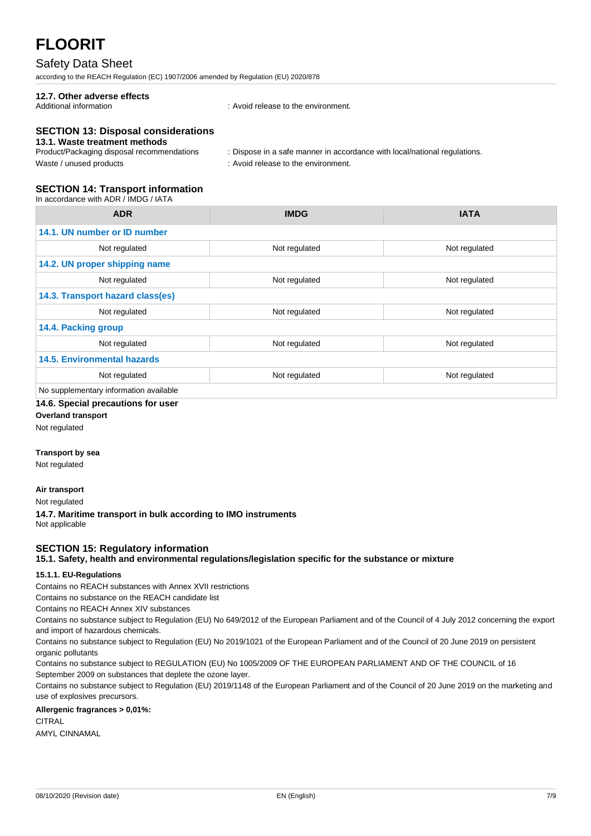#### Safety Data Sheet

according to the REACH Regulation (EC) 1907/2006 amended by Regulation (EU) 2020/878

### **12.7. Other adverse effects**

: Avoid release to the environment.

#### **SECTION 13: Disposal considerations**

#### **13.1. Waste treatment methods**

| Product/Packaging disposal recommendations | : Dispose in a safe manner in accordance with local/national regulations. |
|--------------------------------------------|---------------------------------------------------------------------------|
| Waste / unused products                    | : Avoid release to the environment.                                       |

#### **SECTION 14: Transport information**

In accordance with ADR / IMDG / IATA

| <b>ADR</b>                             | <b>IMDG</b>   | <b>IATA</b>   |
|----------------------------------------|---------------|---------------|
| 14.1. UN number or ID number           |               |               |
| Not regulated                          | Not regulated | Not regulated |
| 14.2. UN proper shipping name          |               |               |
| Not regulated                          | Not regulated | Not regulated |
| 14.3. Transport hazard class(es)       |               |               |
| Not regulated                          | Not regulated | Not regulated |
| 14.4. Packing group                    |               |               |
| Not regulated                          | Not regulated | Not regulated |
| <b>14.5. Environmental hazards</b>     |               |               |
| Not regulated                          | Not regulated | Not regulated |
| No supplementary information available |               |               |

#### **14.6. Special precautions for user**

**Overland transport**

Not regulated

#### **Transport by sea**

Not regulated

#### **Air transport**

Not regulated

**14.7. Maritime transport in bulk according to IMO instruments** Not applicable

#### **SECTION 15: Regulatory information**

**15.1. Safety, health and environmental regulations/legislation specific for the substance or mixture**

#### **15.1.1. EU-Regulations**

Contains no REACH substances with Annex XVII restrictions

Contains no substance on the REACH candidate list

Contains no REACH Annex XIV substances

Contains no substance subject to Regulation (EU) No 649/2012 of the European Parliament and of the Council of 4 July 2012 concerning the export and import of hazardous chemicals.

Contains no substance subject to Regulation (EU) No 2019/1021 of the European Parliament and of the Council of 20 June 2019 on persistent organic pollutants

Contains no substance subject to REGULATION (EU) No 1005/2009 OF THE EUROPEAN PARLIAMENT AND OF THE COUNCIL of 16 September 2009 on substances that deplete the ozone layer.

Contains no substance subject to Regulation (EU) 2019/1148 of the European Parliament and of the Council of 20 June 2019 on the marketing and use of explosives precursors.

#### **Allergenic fragrances > 0,01%:**

CITRAL

AMYL CINNAMAL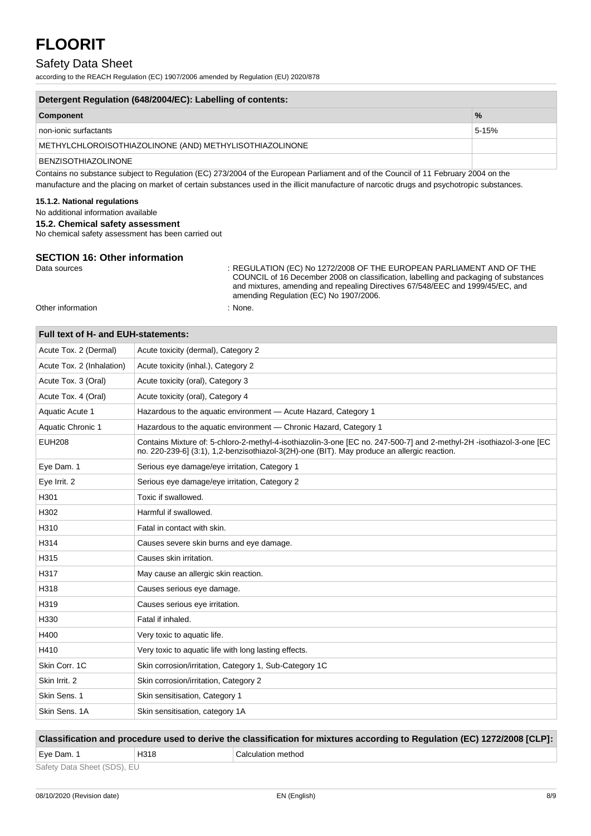#### Safety Data Sheet

according to the REACH Regulation (EC) 1907/2006 amended by Regulation (EU) 2020/878

| Detergent Regulation (648/2004/EC): Labelling of contents: |               |
|------------------------------------------------------------|---------------|
| Component                                                  | $\frac{0}{6}$ |
| non-ionic surfactants.                                     |               |

non-ionic surfactants 5-15% and the state of the state of the state of the state of the state of the state of the state of the state of the state of the state of the state of the state of the state of the state of the stat METHYLCHLOROISOTHIAZOLINONE (AND) METHYLISOTHIAZOLINONE BENZISOTHIAZOLINONE

Contains no substance subject to Regulation (EC) 273/2004 of the European Parliament and of the Council of 11 February 2004 on the manufacture and the placing on market of certain substances used in the illicit manufacture of narcotic drugs and psychotropic substances.

#### **15.1.2. National regulations**

No additional information available

**15.2. Chemical safety assessment**

No chemical safety assessment has been carried out

### **SECTION 16: Other information**<br>Data sources

: REGULATION (EC) No 1272/2008 OF THE EUROPEAN PARLIAMENT AND OF THE COUNCIL of 16 December 2008 on classification, labelling and packaging of substances and mixtures, amending and repealing Directives 67/548/EEC and 1999/45/EC, and amending Regulation (EC) No 1907/2006.

Other information : None.

| Full text of H- and EUH-statements: |                                                                                                                                                                                                                     |
|-------------------------------------|---------------------------------------------------------------------------------------------------------------------------------------------------------------------------------------------------------------------|
| Acute Tox. 2 (Dermal)               | Acute toxicity (dermal), Category 2                                                                                                                                                                                 |
| Acute Tox. 2 (Inhalation)           | Acute toxicity (inhal.), Category 2                                                                                                                                                                                 |
| Acute Tox. 3 (Oral)                 | Acute toxicity (oral), Category 3                                                                                                                                                                                   |
| Acute Tox. 4 (Oral)                 | Acute toxicity (oral), Category 4                                                                                                                                                                                   |
| <b>Aquatic Acute 1</b>              | Hazardous to the aquatic environment - Acute Hazard, Category 1                                                                                                                                                     |
| Aquatic Chronic 1                   | Hazardous to the aquatic environment - Chronic Hazard, Category 1                                                                                                                                                   |
| <b>EUH208</b>                       | Contains Mixture of: 5-chloro-2-methyl-4-isothiazolin-3-one [EC no. 247-500-7] and 2-methyl-2H -isothiazol-3-one [EC<br>no. 220-239-6] (3:1), 1,2-benzisothiazol-3(2H)-one (BIT). May produce an allergic reaction. |
| Eye Dam. 1                          | Serious eye damage/eye irritation, Category 1                                                                                                                                                                       |
| Eye Irrit. 2                        | Serious eye damage/eye irritation, Category 2                                                                                                                                                                       |
| H301                                | Toxic if swallowed.                                                                                                                                                                                                 |
| H302                                | Harmful if swallowed.                                                                                                                                                                                               |
| H310                                | Fatal in contact with skin.                                                                                                                                                                                         |
| H314                                | Causes severe skin burns and eye damage.                                                                                                                                                                            |
| H315                                | Causes skin irritation.                                                                                                                                                                                             |
| H317                                | May cause an allergic skin reaction.                                                                                                                                                                                |
| H318                                | Causes serious eye damage.                                                                                                                                                                                          |
| H319                                | Causes serious eye irritation.                                                                                                                                                                                      |
| H330                                | Fatal if inhaled.                                                                                                                                                                                                   |
| H400                                | Very toxic to aquatic life.                                                                                                                                                                                         |
| H410                                | Very toxic to aquatic life with long lasting effects.                                                                                                                                                               |
| Skin Corr. 1C                       | Skin corrosion/irritation, Category 1, Sub-Category 1C                                                                                                                                                              |
| Skin Irrit. 2                       | Skin corrosion/irritation, Category 2                                                                                                                                                                               |
| Skin Sens. 1                        | Skin sensitisation, Category 1                                                                                                                                                                                      |
| Skin Sens, 1A                       | Skin sensitisation, category 1A                                                                                                                                                                                     |

**Classification and procedure used to derive the classification for mixtures according to Regulation (EC) 1272/2008 [CLP]:** Eye Dam. 1 H318 Calculation method Safety Data Sheet (SDS), EU